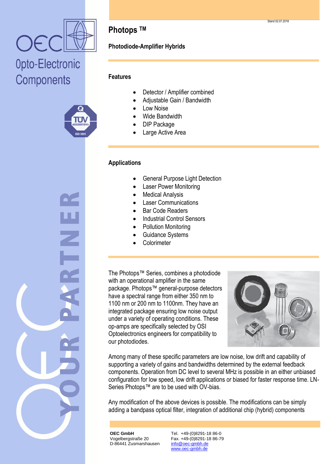



### **Photops TM**

#### **Photodiode-Amplifier Hybrids**

#### **Features**

- Detector / Amplifier combined
- Adjustable Gain / Bandwidth
- Low Noise
- Wide Bandwidth
- DIP Package
- Large Active Area

#### **Applications**

- General Purpose Light Detection
- Laser Power Monitoring
- Medical Analysis
- Laser Communications
- Bar Code Readers
- Industrial Control Sensors
- Pollution Monitoring
- Guidance Systems
- **Colorimeter**

The Photops™ Series, combines a photodiode with an operational amplifier in the same package. Photops™ general-purpose detectors have a spectral range from either 350 nm to 1100 nm or 200 nm to 1100nm. They have an integrated package ensuring low noise output under a variety of operating conditions. These op-amps are specifically selected by OSI Optoelectronics engineers for compatibility to our photodiodes.



Among many of these specific parameters are low noise, low drift and capability of supporting a variety of gains and bandwidths determined by the external feedback components. Operation from DC level to several MHz is possible in an either unbiased configuration for low speed, low drift applications or biased for faster response time. LN-Series Photops™ are to be used with OV-bias.

Any modification of the above devices is possible. The modifications can be simply adding a bandpass optical filter, integration of additional chip (hybrid) components

**OEC GmbH** Vogelbergstraße 20 D-86441 Zusmarshausen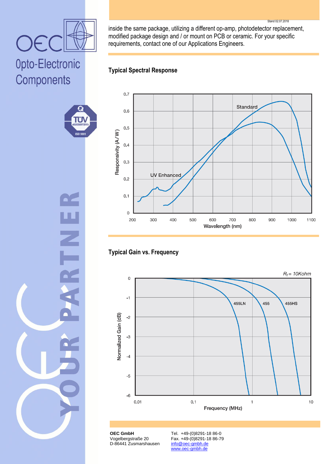#### Stand 02.07.2018

inside the same package, utilizing a different op-amp, photodetector replacement, modified package design and / or mount on PCB or ceramic. For your specific requirements, contact one of our Applications Engineers.

#### **Typical Spectral Response**

OE

Opto-Electronic

٤Ĵ

۳.

**ISO 900** 

Components



#### **Typical Gain vs. Frequency**



**OEC GmbH** Vogelbergstraße 20 D-86441 Zusmarshausen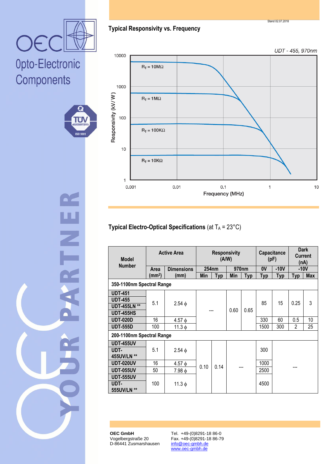**OEC GmbH** Vogelbergstraße 20 D-86441 Zusmarshausen

Tel. +49-(0)8291-18 86-0 Fax. +49-(0)8291-18 86-79 info@oec-gmbh.de www.oec-gmbh.de

∐<br>Z

#### **Typical Responsivity vs. Frequency**

UDT - 455, 970nm



### **Typical Electro-Optical Specifications** (at  $T_A = 23^{\circ}C$ )

| <b>Model</b><br><b>Number</b> | <b>Active Area</b> |                   | <b>Responsivity</b><br>(A/W) |            |       |            | Capacitance<br>(pF) |            | <b>Dark</b><br><b>Current</b><br>(nA) |            |
|-------------------------------|--------------------|-------------------|------------------------------|------------|-------|------------|---------------------|------------|---------------------------------------|------------|
|                               | Area               | <b>Dimensions</b> | 254nm                        |            | 970nm |            | 0V                  | $-10V$     | $-10V$                                |            |
|                               | (mm <sup>2</sup> ) | (mm)              | Min                          | <b>Typ</b> |       | <b>Typ</b> | <b>Typ</b>          | <b>Typ</b> | <b>Typ</b>                            | <b>Max</b> |
| 350-1100nm Spectral Range     |                    |                   |                              |            |       |            |                     |            |                                       |            |
| <b>UDT-451</b>                |                    |                   |                              |            |       |            |                     |            |                                       |            |
| <b>UDT-455</b>                | 5.1                |                   |                              |            |       |            | 85                  | 15         | 0.25                                  | 3          |
| <b>UDT-455LN **</b>           |                    | $2.54 \phi$       |                              |            |       |            |                     |            |                                       |            |
| <b>UDT-455HS</b>              |                    |                   |                              |            | 0.60  | 0.65       |                     |            |                                       |            |
| <b>UDT-020D</b>               | 16                 | $4.57 \phi$       |                              |            |       |            | 330                 | 60         | 0.5                                   | 10         |
| <b>UDT-555D</b>               | 100                | $11.3 \phi$       |                              |            |       |            | 1500                | 300        | $\overline{2}$                        | 25         |
| 200-1100nm Spectral Range     |                    |                   |                              |            |       |            |                     |            |                                       |            |
| <b>UDT-455UV</b>              |                    |                   |                              |            |       |            |                     |            |                                       |            |
| UDT-                          | 5.1                | $2.54 \phi$       |                              |            |       |            | 300                 |            |                                       |            |
| 455UV/LN **                   |                    |                   |                              | 0.14       |       |            |                     |            |                                       |            |
| UDT-020UV                     | 16                 | $4.57 \phi$       |                              |            |       |            | 1000                |            |                                       |            |
| <b>UDT-055UV</b>              | 50                 | $7.98\phi$        | 0.10                         |            |       |            | 2500                |            |                                       |            |
| <b>UDT-555UV</b>              |                    |                   |                              |            |       |            |                     |            |                                       |            |
| UDT-<br>555UV/LN **           | 100                | $11.3 \phi$       |                              |            |       |            | 4500                |            |                                       |            |



Opto-Electronic Components



Stand 02.07.2018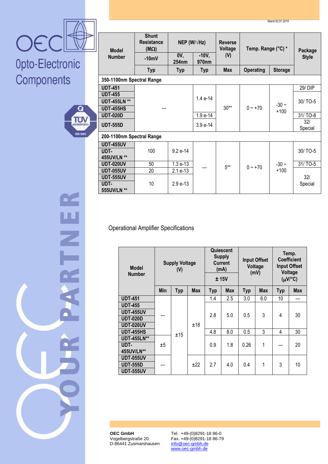



H<br>Z<br>L

| <b>Model</b>              | <b>Shunt</b><br>NEP (W/ $\sqrt{Hz}$ )<br><b>Resistance</b><br>$(M\Omega)$ |              |                          | <b>Reverse</b><br>Voltage | Temp. Range (°C) *                 | Package           |                |
|---------------------------|---------------------------------------------------------------------------|--------------|--------------------------|---------------------------|------------------------------------|-------------------|----------------|
| <b>Number</b>             | $-10mV$                                                                   | 0V,<br>254nm | $-10V,$<br>970nm         | (V)                       |                                    | <b>Style</b>      |                |
|                           | <b>Typ</b>                                                                | <b>Typ</b>   | <b>Max</b><br><b>Typ</b> |                           | <b>Operating</b><br><b>Storage</b> |                   |                |
| 350-1100nm Spectral Range |                                                                           |              |                          |                           |                                    |                   |                |
| <b>UDT-451</b>            |                                                                           |              |                          |                           |                                    |                   | 29/DIP         |
| <b>UDT-455</b>            |                                                                           |              | $1.4e-14$                | $30**$                    | $0 - +70$                          | $-30 -$<br>$+100$ |                |
| <b>UDT-455LN **</b>       |                                                                           |              |                          |                           |                                    |                   | 30/TO-5        |
| <b>UDT-455HS</b>          |                                                                           |              |                          |                           |                                    |                   |                |
| <b>UDT-020D</b>           |                                                                           |              | 1.9 e-14                 |                           |                                    |                   | 31/TO-8        |
| <b>UDT-555D</b>           |                                                                           |              | $3.9e-14$                |                           |                                    |                   | 32/<br>Special |
| 200-1100nm Spectral Range |                                                                           |              |                          |                           |                                    |                   |                |
| <b>UDT-455UV</b>          |                                                                           |              |                          |                           |                                    |                   |                |
| UDT-                      | 100                                                                       | $9.2 e-14$   |                          |                           |                                    |                   | 30/TO-5        |
| 455UV/LN **               |                                                                           |              |                          |                           | $0 - +70$                          | $-30 -$           |                |
| <b>UDT-020UV</b>          | 50                                                                        | $1.3e-13$    |                          | $5***$                    |                                    |                   | 31/TO-5        |
| <b>UDT-055UV</b>          | 20                                                                        | 2.1 e-13     |                          |                           |                                    | $+100$            |                |
| <b>UDT-555UV</b>          |                                                                           |              |                          |                           |                                    |                   | 32/            |
| UDT-<br>555UV/LN **       | 10<br>$2.9e-13$                                                           |              |                          |                           |                                    |                   | Special        |

#### Operational Amplifier Specifications

| <b>Model</b><br><b>Number</b> |     | <b>Supply Voltage</b><br>(V) |            | Quiescent<br><b>Supply</b><br><b>Current</b><br>(mA)<br>± 15V |            | <b>Input Offset</b><br>Voltage<br>(mV) |            | Temp.<br><b>Coefficient</b><br><b>Input Offset</b><br>Voltage<br>$(\mu V)^{\circ}C$ |            |
|-------------------------------|-----|------------------------------|------------|---------------------------------------------------------------|------------|----------------------------------------|------------|-------------------------------------------------------------------------------------|------------|
|                               | Min | <b>Typ</b>                   | <b>Max</b> | <b>Typ</b>                                                    | <b>Max</b> | <b>Typ</b>                             | <b>Max</b> | <b>Typ</b>                                                                          | <b>Max</b> |
| <b>UDT-451</b>                |     |                              | ±18        | 1.4                                                           | 2.5        | 3.0                                    | 6.0        | 10                                                                                  | ---        |
| <b>UDT-455</b>                |     |                              |            | 2.8                                                           | 5.0        | 0.5                                    | 3          | 4                                                                                   | 30         |
| <b>UDT-455UV</b>              |     |                              |            |                                                               |            |                                        |            |                                                                                     |            |
| <b>UDT-020D</b>               |     |                              |            |                                                               |            |                                        |            |                                                                                     |            |
| <b>UDT-020UV</b>              |     |                              |            |                                                               |            |                                        |            |                                                                                     |            |
| <b>UDT-455HS</b>              |     | ±15                          |            | 4.8                                                           | 8.0        | 0.5                                    | 3          | 4                                                                                   | 30         |
| <b>UDT-455LN**</b>            | ±5  |                              |            |                                                               |            |                                        |            |                                                                                     |            |
| UDT-                          |     |                              |            | 0.9                                                           | 1.8        | 0.26                                   | 1          |                                                                                     | 20         |
| 455UV/LN**                    |     |                              |            |                                                               |            |                                        |            |                                                                                     |            |
| <b>UDT-055UV</b>              |     |                              |            |                                                               |            |                                        |            |                                                                                     |            |
| <b>UDT-555D</b>               |     |                              | ±22        | 2.7                                                           | 4.0        | 0.4                                    | 1          | 3                                                                                   | 10         |
| <b>UDT-555UV</b>              |     |                              |            |                                                               |            |                                        |            |                                                                                     |            |

**OEC GmbH** Vogelbergstraße 20 D-86441 Zusmarshausen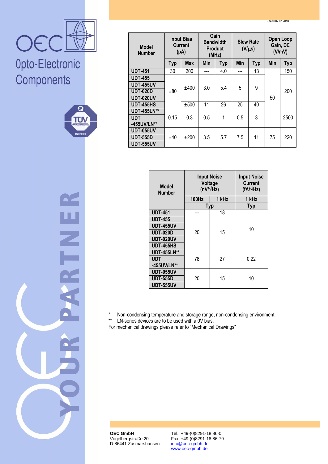Stand 02.07.2018



### Opto-Electronic Components



 $\overline{\mathbb{Z}}$ 

| <b>Input Bias</b><br><b>Current</b><br><b>Model</b><br>(pA)<br><b>Number</b> |            |            | Gain<br><b>Bandwidth</b><br><b>Product</b><br>(MHz) |            | <b>Slew Rate</b><br>$(V/\mu s)$ |            | <b>Open Loop</b><br>Gain, DC<br>(V/mV) |            |
|------------------------------------------------------------------------------|------------|------------|-----------------------------------------------------|------------|---------------------------------|------------|----------------------------------------|------------|
|                                                                              | <b>Typ</b> | <b>Max</b> | Min                                                 | <b>Typ</b> | Min                             | <b>Typ</b> | Min                                    | <b>Typ</b> |
| <b>UDT-451</b>                                                               | 30         | 200        |                                                     | 4.0        |                                 | 13         |                                        | 150        |
| <b>UDT-455</b>                                                               | ±80        | ±400       | 3.0                                                 | 5.4        | 5                               | 9          |                                        | 200        |
| <b>UDT-455UV</b>                                                             |            |            |                                                     |            |                                 |            |                                        |            |
| <b>UDT-020D</b>                                                              |            |            |                                                     |            |                                 |            |                                        |            |
| UDT-020UV                                                                    |            |            |                                                     |            |                                 |            |                                        | 50         |
| <b>UDT-455HS</b>                                                             |            | ±500       | 11                                                  | 26         | 25                              | 40         |                                        |            |
| <b>UDT-455LN**</b>                                                           |            |            |                                                     |            |                                 |            |                                        |            |
| <b>UDT</b>                                                                   | 0.15       | 0.3        | 0.5                                                 | 1          | 0.5                             | 3          |                                        | 2500       |
| -455UV/LN**                                                                  |            |            |                                                     |            |                                 |            |                                        |            |
| <b>UDT-055UV</b>                                                             | ±40        | ±200       | 3.5                                                 | 5.7        | 7.5                             | 11         | 75                                     |            |
| <b>UDT-555D</b>                                                              |            |            |                                                     |            |                                 |            |                                        | 220        |
| UDT-555UV                                                                    |            |            |                                                     |            |                                 |            |                                        |            |

| <b>Model</b><br><b>Number</b> | <b>Input Noise</b><br>Voltage<br>(nV/ $\sqrt{Hz}$ ) | <b>Input Noise</b><br><b>Current</b><br>$(fA/\sqrt{Hz})$ |       |  |  |
|-------------------------------|-----------------------------------------------------|----------------------------------------------------------|-------|--|--|
|                               | <b>100Hz</b>                                        | 1 kHz                                                    | 1 kHz |  |  |
|                               | <b>Typ</b>                                          | <b>Typ</b>                                               |       |  |  |
| <b>UDT-451</b>                |                                                     | 18                                                       |       |  |  |
| <b>UDT-455</b>                |                                                     |                                                          | 10    |  |  |
| <b>UDT-455UV</b>              | 20                                                  |                                                          |       |  |  |
| <b>UDT-020D</b>               |                                                     | 15                                                       |       |  |  |
| <b>UDT-020UV</b>              |                                                     |                                                          |       |  |  |
| <b>UDT-455HS</b>              |                                                     |                                                          |       |  |  |
| <b>UDT-455LN**</b>            |                                                     |                                                          |       |  |  |
| <b>UDT</b>                    | 78                                                  | 27                                                       | 0.22  |  |  |
| -455UV/LN**                   |                                                     |                                                          |       |  |  |
| <b>UDT-055UV</b>              |                                                     |                                                          |       |  |  |
| <b>UDT-555D</b>               | 20                                                  | 15                                                       | 10    |  |  |
| <b>UDT-555UV</b>              |                                                     |                                                          |       |  |  |

\* Non-condensing temperature and storage range, non-condensing environment.<br>\*\* IN-series devices are to be used with a 0V bias

 $LN$ -series devices are to be used with a  $0V$  bias.

For mechanical drawings please refer to "Mechanical Drawings"

**OEC GmbH** Vogelbergstraße 20 D-86441 Zusmarshausen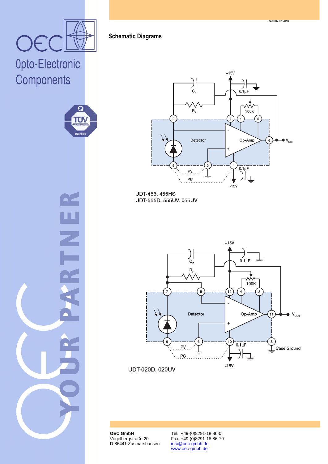OE



ž



UDT-455, 455HS UDT-555D, 555UV, 055UV



UDT-020D, 020UV

**OEC GmbH** Vogelbergstraße 20 D-86441 Zusmarshausen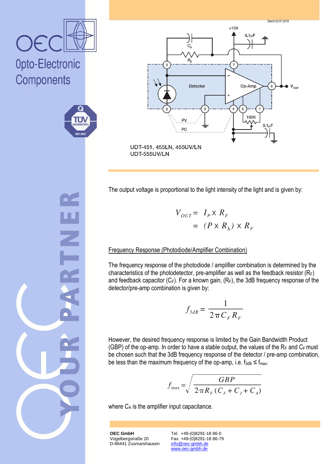

 $\overline{\mathbb{Z}}$ 



The output voltage is proportional to the light intensity of the light and is given by:

 $V_{OUT} = I_P \times R_F$  $= (P \times R_{\lambda}) \times R_{F}$ 

#### Frequency Response (Photodiode/Amplifier Combination)

The frequency response of the photodiode / amplifier combination is determined by the characteristics of the photodetector, pre-amplifier as well as the feedback resistor  $(R_F)$ and feedback capacitor  $(C_F)$ . For a known gain,  $(R_F)$ , the 3dB frequency response of the detector/pre-amp combination is given by:

$$
f_{3dB} = \frac{1}{2\pi C_F R_F}
$$

However, the desired frequency response is limited by the Gain Bandwidth Product (GBP) of the op-amp. In order to have a stable output, the values of the  $R_F$  and  $C_F$  must be chosen such that the 3dB frequency response of the detector / pre-amp combination, be less than the maximum frequency of the op-amp, i.e.  $f_{3dB} \le f_{max}$ .

$$
f_{\max} = \sqrt{\frac{GBP}{2\pi R_F (C_F + C_J + C_A)}}
$$

where  $C_A$  is the amplifier input capacitance.

**OEC GmbH** Vogelbergstraße 20 D-86441 Zusmarshausen